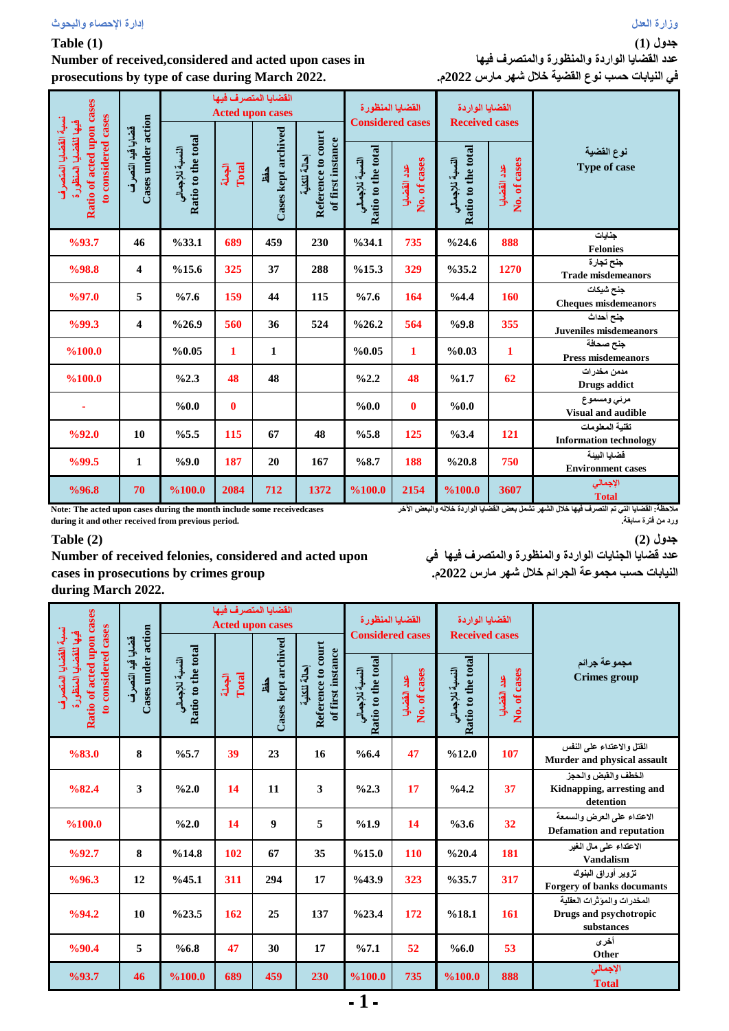# **Table (1)**

**Number of received,considered and acted upon cases in prosecutions by type of case during March 2022.**

| Ratio of acted upon cases<br>to considered cases<br>نسبة القضايا المتصرف<br>فيها للقضايا المنظورة | Cases under action<br>قضايا قيد التصرف | القضايا المتصر ف فيها<br><b>Acted upon cases</b> |                 |                            |                                                         | القضايا المنظورة<br><b>Considered cases</b> |                             | الفضايا الواردة<br><b>Received cases</b> |                             |                                                  |  |
|---------------------------------------------------------------------------------------------------|----------------------------------------|--------------------------------------------------|-----------------|----------------------------|---------------------------------------------------------|---------------------------------------------|-----------------------------|------------------------------------------|-----------------------------|--------------------------------------------------|--|
|                                                                                                   |                                        | Ratio to the total<br>النسبة للإجمالي            | Total<br>الجعلة | Cases kept archived<br>دفظ | Reference to court<br>of first instance<br>إحالة للكلية | Ratio to the total<br>النسبة للإجمالي       | No. of cases<br>عدد القضايا | Ratio to the total<br>النسبة للإجمالي    | No. of cases<br>عدد القضايا | نوع القضية<br>Type of case                       |  |
| %93.7                                                                                             | 46                                     | %33.1                                            | 689             | 459                        | 230                                                     | %34.1                                       | 735                         | %24.6                                    | 888                         | جنايات<br><b>Felonies</b>                        |  |
| %98.8                                                                                             | $\overline{\mathbf{4}}$                | %15.6                                            | 325             | 37                         | 288                                                     | %15.3                                       | 329                         | $\%35.2$                                 | 1270                        | جنح تجارة<br><b>Trade misdemeanors</b>           |  |
| $\frac{9}{97.0}$                                                                                  | 5                                      | %7.6                                             | 159             | 44                         | 115                                                     | %7.6                                        | 164                         | %4.4                                     | 160                         | جنح شيكات<br><b>Cheques misdemeanors</b>         |  |
| %99.3                                                                                             | $\overline{\mathbf{4}}$                | $\frac{626.9}{ }$                                | 560             | 36                         | 524                                                     | $\frac{626.2}{2}$                           | 564                         | %9.8                                     | 355                         | جنح أحداث<br><b>Juveniles misdemeanors</b>       |  |
| %100.0                                                                                            |                                        | %0.05                                            | $\mathbf{1}$    | 1                          |                                                         | %0.05                                       | $\mathbf{1}$                | %0.03                                    | $\mathbf{1}$                | جنح صحافة<br><b>Press misdemeanors</b>           |  |
| %100.0                                                                                            |                                        | $\frac{62.3}{ }$                                 | 48              | 48                         |                                                         | $\frac{62.2}{ }$                            | 48                          | %1.7                                     | 62                          | مدمن مخدرات<br>Drugs addict                      |  |
|                                                                                                   |                                        | %0.0                                             | $\bf{0}$        |                            |                                                         | %0.0                                        | $\mathbf{0}$                | %0.0                                     |                             | مرئى ومسموع<br><b>Visual and audible</b>         |  |
| %92.0                                                                                             | 10                                     | %5.5                                             | 115             | 67                         | 48                                                      | %5.8                                        | 125                         | %3.4                                     | 121                         | تقنية المعلومات<br><b>Information technology</b> |  |
| %99.5                                                                                             | 1                                      | %9.0                                             | 187             | 20                         | 167                                                     | %8.7                                        | 188                         | %20.8                                    | 750                         | قضابا البنة<br><b>Environment cases</b>          |  |
| %96.8                                                                                             | 70                                     | %100.0                                           | 2084            | 712                        | 1372                                                    | %100.0                                      | 2154                        | %100.0                                   | 3607                        | الإجمالي<br><b>Total</b>                         |  |

**Note: The acted upon cases during the month include some receivedcases during it and other received from previous period.**

**مالحظة:القضايا التي تم التصرف فيها خالل الشهر تشمل بعض القضايا الواردة خالله والبعض اآلخر ورد من فترة سابقة.**

# **Table (2)**

**Number of received felonies, considered and acted upon cases in prosecutions by crimes group during March 2022.**

**جدول )2( عدد قضايا الجنايات الواردة والمنظورة والمتصرف فيها في النيابات حسب مجموعة الجرائم خالل شهر مارس 2022م.**

| Ratio of acted upon cases<br>to considered cases<br>تسبية القضايا المتصرف<br>فيها للقضايا المنظور ة |                                        |                                       |                 | القضايا المتصر ف فيها<br><b>Acted upon cases</b> |                                                         | القضايا المنظورة                      |                             | القضايا الواردة                       |                             |                                                                    |
|-----------------------------------------------------------------------------------------------------|----------------------------------------|---------------------------------------|-----------------|--------------------------------------------------|---------------------------------------------------------|---------------------------------------|-----------------------------|---------------------------------------|-----------------------------|--------------------------------------------------------------------|
|                                                                                                     |                                        |                                       |                 |                                                  | Reference to court<br>of first instance<br>إحالة للكلية | <b>Considered cases</b>               |                             | <b>Received cases</b>                 |                             |                                                                    |
|                                                                                                     | Cases under action<br>قضايا قيد التصرف | Ratio to the total<br>النسبة للإجمالي | الجملة<br>Total | Cases kept archived<br>كفظ                       |                                                         | Ratio to the total<br>النسبة للإجمالي | No. of cases<br>عدد القضايا | Ratio to the total<br>النسبة للإجمالي | No. of cases<br>عدد القضايا | مجموعة جرائم<br><b>Crimes</b> group                                |
| %83.0                                                                                               | 8                                      | %5.7                                  | 39              | 23                                               | 16                                                      | %6.4                                  | 47                          | %12.0                                 | 107                         | الفتل والاعتداء على النفس<br>Murder and physical assault           |
| %82.4                                                                                               | 3                                      | $\%2.0$                               | 14              | 11                                               | 3                                                       | %2.3                                  | 17                          | %4.2                                  | 37                          | الخطف والقبض والحجز<br>Kidnapping, arresting and<br>detention      |
| %100.0                                                                                              |                                        | $\%2.0$                               | 14              | $\boldsymbol{9}$                                 | 5                                                       | %1.9                                  | 14                          | %3.6                                  | 32                          | الاعتداء على العرض والسمعة<br><b>Defamation and reputation</b>     |
| %92.7                                                                                               | 8                                      | %14.8                                 | 102             | 67                                               | 35                                                      | %15.0                                 | 110                         | %20.4                                 | 181                         | الاعتداء علم مال الغير<br><b>Vandalism</b>                         |
| %96.3                                                                                               | 12                                     | %45.1                                 | 311             | 294                                              | 17                                                      | %43.9                                 | 323                         | %35.7                                 | 317                         | تزوير أوراق البنوك<br>Forgery of banks documants                   |
| %94.2                                                                                               | 10                                     | %23.5                                 | 162             | 25                                               | 137                                                     | %23.4                                 | 172                         | %18.1                                 | <b>161</b>                  | المخدرات والموثرات العقلية<br>Drugs and psychotropic<br>substances |
| %90.4                                                                                               | 5                                      | %6.8                                  | 47              | 30                                               | 17                                                      | %7.1                                  | 52                          | %6.0                                  | 53                          | أخرى<br>Other                                                      |
| %93.7                                                                                               | 46                                     | %100.0                                | 689             | 459                                              | 230                                                     | %100.0                                | 735                         | %100.0                                | 888                         | الإجمالي<br><b>Total</b>                                           |
|                                                                                                     |                                        |                                       |                 |                                                  |                                                         | 1                                     |                             |                                       |                             |                                                                    |

**جدول )1(**

**عدد القضايا الواردة والمنظورة والمتصرف فيها في النيابات حسب نوع القضية خالل شهر مارس 2022م.**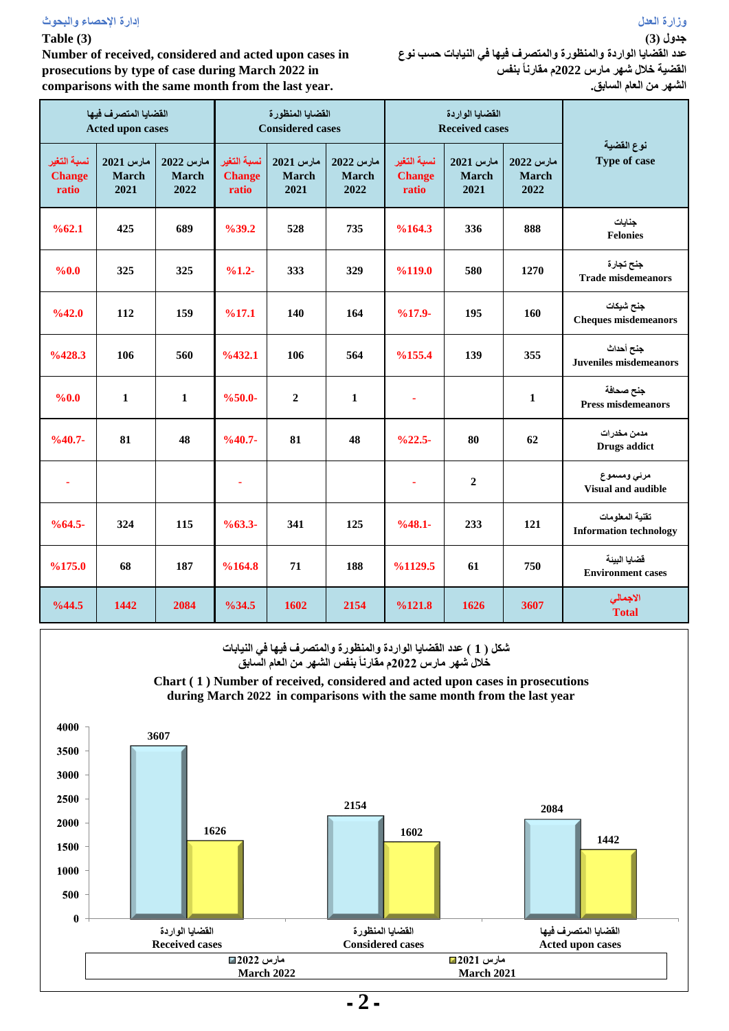# **وزارة العدل إدارة اإلحصاء والبحوث**

### **Table (3)**

**Number of received, considered and acted upon cases in prosecutions by type of case during March 2022 in comparisons with the same month from the last year.**

**جدول )3( عدد القضايا الواردة والمنظورة والمتصرف فيها في النيابات حسب نوع القضية خالل شهر مارس 2022م مقارناً بنفس الشهر من العام السابق.**

|                                       | القضايا المتصرف فيها<br>Acted upon cases |                                   | القضايا المنظورة<br><b>Considered cases</b> |                                   |                                   |                                       | القضايا الواردة<br><b>Received cases</b> |                                   |                                                  |
|---------------------------------------|------------------------------------------|-----------------------------------|---------------------------------------------|-----------------------------------|-----------------------------------|---------------------------------------|------------------------------------------|-----------------------------------|--------------------------------------------------|
| نسبة التغير<br><b>Change</b><br>ratio | مارس 2021<br><b>March</b><br>2021        | مارس 2022<br><b>March</b><br>2022 | نسبة التغير<br><b>Change</b><br>ratio       | مارس 2021<br><b>March</b><br>2021 | مارس 2022<br><b>March</b><br>2022 | نسبة التغير<br><b>Change</b><br>ratio | مارس 2021<br><b>March</b><br>2021        | مارس 2022<br><b>March</b><br>2022 | نوع القضية<br><b>Type of case</b>                |
| %62.1                                 | 425                                      | 689                               | $\frac{9}{6}39.2$                           | 528                               | 735                               | %164.3                                | 336                                      | 888                               | جنايات<br><b>Felonies</b>                        |
| %0.0                                  | 325                                      | 325                               | $%1.2-$                                     | 333                               | 329                               | %119.0                                | 580                                      | 1270                              | جنح تجارة<br><b>Trade misdemeanors</b>           |
| %42.0                                 | 112                                      | 159                               | %17.1                                       | 140                               | 164                               | $%17.9-$                              | 195                                      | 160                               | جنح شيكات<br><b>Cheques misdemeanors</b>         |
| %428.3                                | 106                                      | 560                               | $\frac{9}{6}432.1$                          | 106                               | 564                               | %155.4                                | 139                                      | 355                               | جنح أحداث<br><b>Juveniles misdemeanors</b>       |
| %0.0                                  | $\mathbf{1}$                             | $\mathbf{1}$                      | $%50.0-$                                    | $\overline{2}$                    | $\mathbf{1}$                      | ÷                                     |                                          | $\mathbf{1}$                      | جنح صحافة<br><b>Press misdemeanors</b>           |
| $%40.7-$                              | 81                                       | 48                                | $\frac{9}{6}40.7$ -                         | 81                                | 48                                | $\frac{0}{22.5}$                      | 80                                       | 62                                | مدمن مخدرات<br>Drugs addict                      |
| $\mathbf{r}$                          |                                          |                                   | $\blacksquare$                              |                                   |                                   | $\mathbf{r}$                          | $\boldsymbol{2}$                         |                                   | مرئى ومسموع<br>Visual and audible                |
| $%64.5-$                              | 324                                      | 115                               | $%63.3-$                                    | 341                               | 125                               | $%48.1-$                              | 233                                      | 121                               | تقنية المعلومات<br><b>Information technology</b> |
| %175.0                                | 68                                       | 187                               | %164.8                                      | 71                                | 188                               | %1129.5                               | 61                                       | 750                               | قضايا البيئة<br><b>Environment cases</b>         |
| %44.5                                 | 1442                                     | 2084                              | %34.5                                       | 1602                              | 2154                              | %121.8                                | 1626                                     | 3607                              | الاجمالى<br><b>Total</b>                         |

**Chart (1) Number of received and acted upon cases to prosecutions by type of case شكل ) 1 ( عدد القضايا الواردة والمنظورة والمتصرف فيها في النيابات خالل شهر مارس 2022م مقارناً بنفس الشهر من العام السابق**

**Chart ( 1 ) Number of received, considered and acted upon cases in prosecutions during March 2022 in comparisons with the same month from the last year**



**ـ 2 ـ**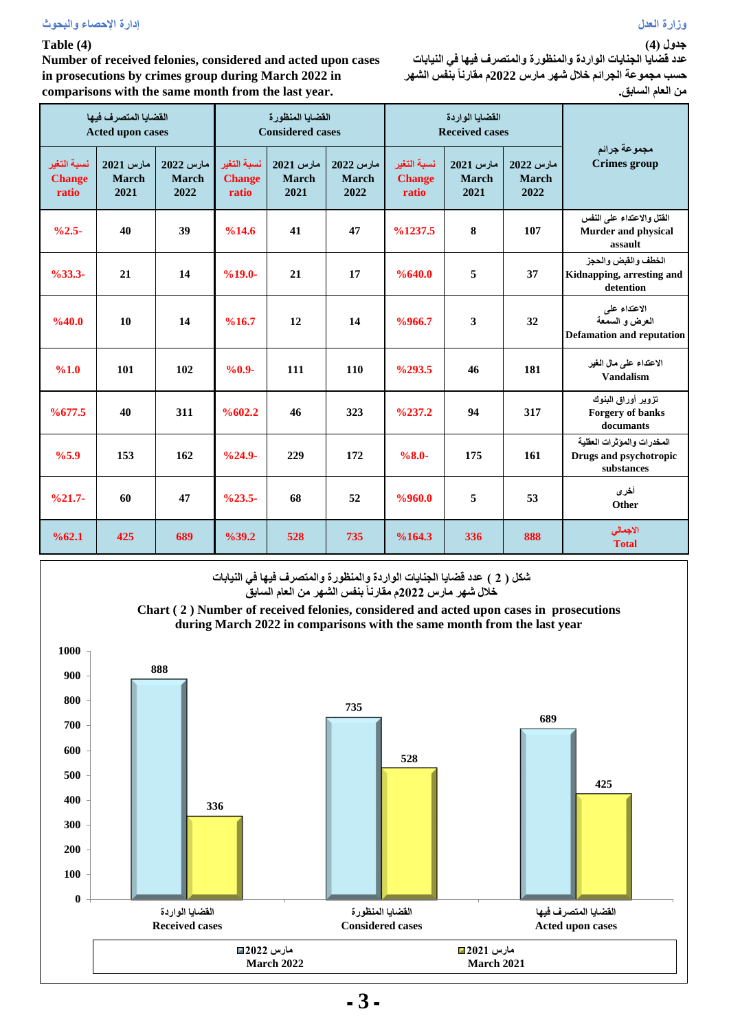#### **وزارة العدل إدارة اإلحصاء والبحوث**

### **Table (4)**

**Number of received felonies, considered and acted upon cases in prosecutions by crimes group during March 2022 in comparisons with the same month from the last year.**

**عدد قضايا الجنايات الواردة والمنظورة والمتصرف فيها في النيابات حسب مجموعة الجرائم خالل شهر مارس 2022م مقارناً بنفس الشهر من العام السابق.**

|                                       | القضايا المتصرف فيها<br><b>Acted upon cases</b> |                                   | القضايا المنظورة<br><b>Considered cases</b> |                            |                                   |                                       | القضايا الواردة<br><b>Received cases</b> |                                   |                                                                    |
|---------------------------------------|-------------------------------------------------|-----------------------------------|---------------------------------------------|----------------------------|-----------------------------------|---------------------------------------|------------------------------------------|-----------------------------------|--------------------------------------------------------------------|
| نسبة التغير<br><b>Change</b><br>ratio | مارس 2021<br><b>March</b><br>2021               | مارس 2022<br><b>March</b><br>2022 | نسبة التغير<br><b>Change</b><br>ratio       | مارس 2021<br>March<br>2021 | مارس 2022<br><b>March</b><br>2022 | نسبة التغير<br><b>Change</b><br>ratio | مارس 2021<br><b>March</b><br>2021        | مارس 2022<br><b>March</b><br>2022 | مجموعة جرائم<br><b>Crimes group</b>                                |
| $%2.5-$                               | 40                                              | 39                                | %14.6                                       | 41                         | 47                                | $\frac{9}{6}$ 1237.5                  | 8                                        | 107                               | القتل والاعتداء على النفس<br><b>Murder and physical</b><br>assault |
| $%33.3-$                              | 21                                              | 14                                | $%19.0-$                                    | 21                         | 17                                | %640.0                                | 5                                        | 37                                | الخطف والقبض والحجز<br>Kidnapping, arresting and<br>detention      |
| %40.0                                 | 10                                              | 14                                | %16.7                                       | 12                         | 14                                | %966.7                                | 3                                        | 32                                | الاعتداء على<br>العرض و السمعة<br><b>Defamation and reputation</b> |
| %1.0                                  | 101                                             | 102                               | $%0.9-$                                     | 111                        | 110                               | $\frac{6293.5}{ }$                    | 46                                       | 181                               | الاعتداء على مال الغير<br><b>Vandalism</b>                         |
| %677.5                                | 40                                              | 311                               | %602.2                                      | 46                         | 323                               | $\frac{0.237.2}{0.237.2}$             | 94                                       | 317                               | تزوير أوراق البنوك<br>Forgery of banks<br>documants                |
| %5.9                                  | 153                                             | 162                               | $\frac{9}{6}$ 24.9-                         | 229                        | 172                               | $%8.0-$                               | 175                                      | 161                               | المخدرات والموثرات العقلية<br>Drugs and psychotropic<br>substances |
| $%21.7-$                              | 60                                              | 47                                | $\frac{623.5}{ }$                           | 68                         | 52                                | %960.0                                | 5                                        | 53                                | أخرى<br>Other                                                      |
| %62.1                                 | 425                                             | 689                               | %39.2                                       | 528                        | 735                               | %164.3                                | 336                                      | 888                               | الاجمالي<br><b>Total</b>                                           |